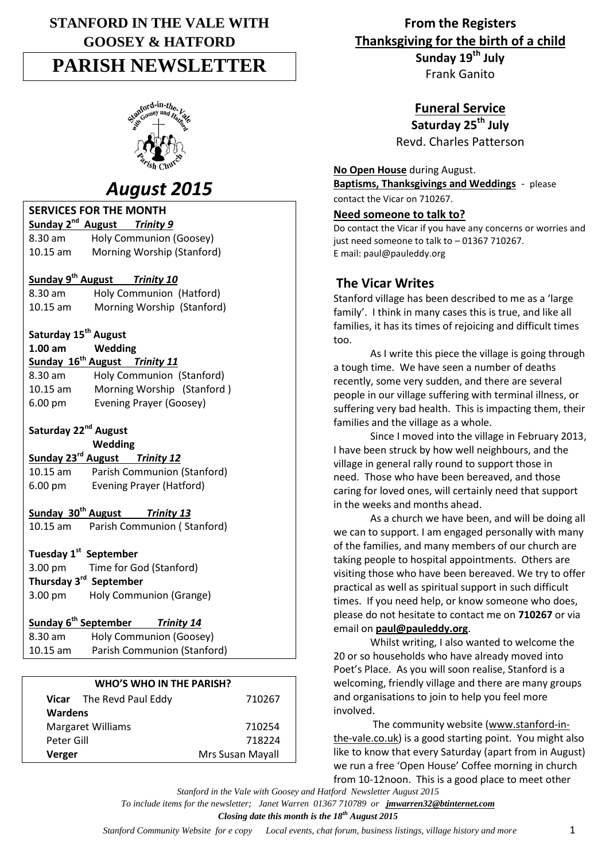# **STANFORD IN THE VALE WITH GOOSEY & HATFORD PARISH NEWSLETTER**



# *August 2015*

| <b>SERVICES FOR THE MONTH</b>                         |  |  |  |
|-------------------------------------------------------|--|--|--|
| Sunday 2 <sup>nd</sup> August<br>Trinity 9            |  |  |  |
| Holy Communion (Goosey)<br>8.30 am                    |  |  |  |
| Morning Worship (Stanford)<br>10.15 am                |  |  |  |
|                                                       |  |  |  |
| Sunday 9 <sup>th</sup> August Trinity 10              |  |  |  |
| Holy Communion (Hatford)<br>8.30 am                   |  |  |  |
| Morning Worship (Stanford)<br>10.15 am                |  |  |  |
|                                                       |  |  |  |
| Saturday 15 <sup>th</sup> August<br>$1.00$ am         |  |  |  |
| Wedding<br>Sunday 16 <sup>th</sup> August Trinity 11  |  |  |  |
|                                                       |  |  |  |
| Holy Communion (Stanford)<br>8.30 am                  |  |  |  |
| Morning Worship (Stanford)<br>$10.15$ am              |  |  |  |
| Evening Prayer (Goosey)<br>6.00 pm                    |  |  |  |
| Saturday 22 <sup>nd</sup> August                      |  |  |  |
| Wedding                                               |  |  |  |
| Sunday 23 <sup>rd</sup> August Trinity 12             |  |  |  |
| $10.15$ am<br>Parish Communion (Stanford)             |  |  |  |
| <b>Evening Prayer (Hatford)</b><br>6.00 pm            |  |  |  |
|                                                       |  |  |  |
| Sunday 30 <sup>th</sup> August<br><b>Trinity 13</b>   |  |  |  |
| Parish Communion (Stanford)<br>10.15 am               |  |  |  |
|                                                       |  |  |  |
| Tuesday 1 <sup>st</sup> September                     |  |  |  |
| 3.00 pm<br>Time for God (Stanford)                    |  |  |  |
| Thursday 3 <sup>rd</sup> September                    |  |  |  |
| Holy Communion (Grange)<br>3.00 pm                    |  |  |  |
| Sunday 6 <sup>th</sup> September<br><b>Trinity 14</b> |  |  |  |
| Holy Communion (Goosey)<br>8.30 am                    |  |  |  |
| Parish Communion (Stanford)<br>10.15 am               |  |  |  |
|                                                       |  |  |  |
|                                                       |  |  |  |

#### **WHO'S WHO IN THE PARISH?**

| Verger                   |                          | Mrs Susan Mayall |
|--------------------------|--------------------------|------------------|
|                          | Peter Gill               | 718224           |
| <b>Margaret Williams</b> |                          | 710254           |
| Wardens                  |                          |                  |
|                          | Vicar The Revd Paul Eddy | 710267           |

**From the Registers Thanksgiving for the birth of a child**

**Sunday 19th July** Frank Ganito

**Funeral Service**

**Saturday 25th July** Revd. Charles Patterson

**No Open House** during August. **Baptisms, Thanksgivings and Weddings** - please

contact the Vicar on 710267.

# **Need someone to talk to?**

Do contact the Vicar if you have any concerns or worries and just need someone to talk to – 01367 710267. E mail: paul@pauleddy.org

# **The Vicar Writes**

Stanford village has been described to me as a 'large family'. I think in many cases this is true, and like all families, it has its times of rejoicing and difficult times too.

As I write this piece the village is going through a tough time. We have seen a number of deaths recently, some very sudden, and there are several people in our village suffering with terminal illness, or suffering very bad health. This is impacting them, their families and the village as a whole.

Since I moved into the village in February 2013, I have been struck by how well neighbours, and the village in general rally round to support those in need. Those who have been bereaved, and those caring for loved ones, will certainly need that support in the weeks and months ahead.

As a church we have been, and will be doing all we can to support. I am engaged personally with many of the families, and many members of our church are taking people to hospital appointments. Others are visiting those who have been bereaved. We try to offer practical as well as spiritual support in such difficult times. If you need help, or know someone who does, please do not hesitate to contact me on **710267** or via email on **[paul@pauleddy.org](mailto:paul@pauleddy.org)**.

Whilst writing, I also wanted to welcome the 20 or so households who have already moved into Poet's Place. As you will soon realise, Stanford is a welcoming, friendly village and there are many groups and organisations to join to help you feel more involved.

The community website [\(www.stanford-in](http://www.stanford-in-the-vale.co.uk/)[the-vale.co.uk\)](http://www.stanford-in-the-vale.co.uk/) is a good starting point. You might also like to know that every Saturday (apart from in August) we run a free 'Open House' Coffee morning in church from 10-12noon. This is a good place to meet other

*Stanford in the Vale with Goosey and Hatford Newsletter August 2015 To include items for the newsletter; Janet Warren 01367 710789 or jmwarren32@btinternet.com Closing date this month is the 18th August 2015*

*Stanford Community Website for e copy Local events, chat forum, business listings, village history and more* 1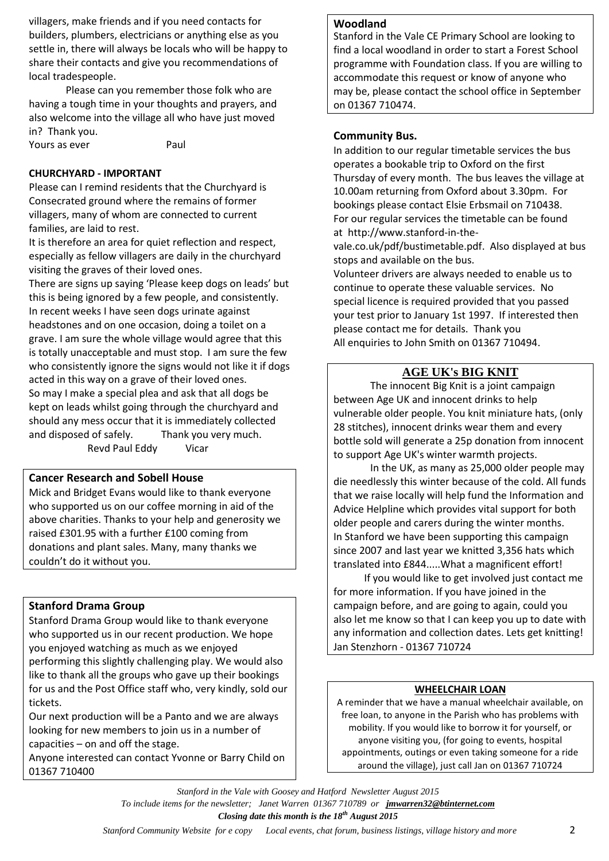villagers, make friends and if you need contacts for builders, plumbers, electricians or anything else as you settle in, there will always be locals who will be happy to share their contacts and give you recommendations of local tradespeople.

Please can you remember those folk who are having a tough time in your thoughts and prayers, and also welcome into the village all who have just moved in? Thank you.

Yours as ever **Paul** 

#### **CHURCHYARD - IMPORTANT**

Please can I remind residents that the Churchyard is Consecrated ground where the remains of former villagers, many of whom are connected to current families, are laid to rest.

It is therefore an area for quiet reflection and respect, especially as fellow villagers are daily in the churchyard visiting the graves of their loved ones.

There are signs up saying 'Please keep dogs on leads' but this is being ignored by a few people, and consistently. In recent weeks I have seen dogs urinate against headstones and on one occasion, doing a toilet on a grave. I am sure the whole village would agree that this is totally unacceptable and must stop. I am sure the few who consistently ignore the signs would not like it if dogs acted in this way on a grave of their loved ones. So may I make a special plea and ask that all dogs be kept on leads whilst going through the churchyard and should any mess occur that it is immediately collected and disposed of safely. Thank you very much. Revd Paul Eddy Vicar

### **Cancer Research and Sobell House**

Mick and Bridget Evans would like to thank everyone who supported us on our coffee morning in aid of the above charities. Thanks to your help and generosity we raised £301.95 with a further £100 coming from donations and plant sales. Many, many thanks we couldn't do it without you.

### **Stanford Drama Group**

Stanford Drama Group would like to thank everyone who supported us in our recent production. We hope you enjoyed watching as much as we enjoyed performing this slightly challenging play. We would also like to thank all the groups who gave up their bookings for us and the Post Office staff who, very kindly, sold our tickets.

Our next production will be a Panto and we are always looking for new members to join us in a number of capacities – on and off the stage.

Anyone interested can contact Yvonne or Barry Child on 01367 710400

#### **Woodland**

Stanford in the Vale CE Primary School are looking to find a local woodland in order to start a Forest School programme with Foundation class. If you are willing to accommodate this request or know of anyone who may be, please contact the school office in September on 01367 710474.

### **Community Bus.**

In addition to our regular timetable services the bus operates a bookable trip to Oxford on the first Thursday of every month. The bus leaves the village at 10.00am returning from Oxford about 3.30pm. For bookings please contact Elsie Erbsmail on 710438. For our regular services the timetable can be found at [http://www.stanford-in-the-](http://www.stanford-in-the-vale.co.uk/pdf/bustimetable.pdf)

[vale.co.uk/pdf/bustimetable.pdf.](http://www.stanford-in-the-vale.co.uk/pdf/bustimetable.pdf) Also displayed at bus stops and available on the bus.

Volunteer drivers are always needed to enable us to continue to operate these valuable services. No special licence is required provided that you passed your test prior to January 1st 1997. If interested then please contact me for details. Thank you All enquiries to John Smith on 01367 710494.

# **AGE UK's BIG KNIT**

The innocent Big Knit is a joint campaign between Age UK and innocent drinks to help vulnerable older people. You knit miniature hats, (only 28 stitches), innocent drinks wear them and every bottle sold will generate a 25p donation from innocent to support Age UK's winter warmth projects.

In the UK, as many as 25,000 older people may die needlessly this winter because of the cold. All funds that we raise locally will help fund the Information and Advice Helpline which provides vital support for both older people and carers during the winter months. In Stanford we have been supporting this campaign since 2007 and last year we knitted 3,356 hats which translated into £844.....What a magnificent effort!

 If you would like to get involved just contact me for more information. If you have joined in the campaign before, and are going to again, could you also let me know so that I can keep you up to date with any information and collection dates. Lets get knitting! Jan Stenzhorn - 01367 710724

#### **WHEELCHAIR LOAN**

A reminder that we have a manual wheelchair available, on free loan, to anyone in the Parish who has problems with mobility. If you would like to borrow it for yourself, or anyone visiting you, (for going to events, hospital appointments, outings or even taking someone for a ride around the village), just call Jan on 01367 710724

*Stanford in the Vale with Goosey and Hatford Newsletter August 2015 To include items for the newsletter; Janet Warren 01367 710789 or jmwarren32@btinternet.com Closing date this month is the 18th August 2015*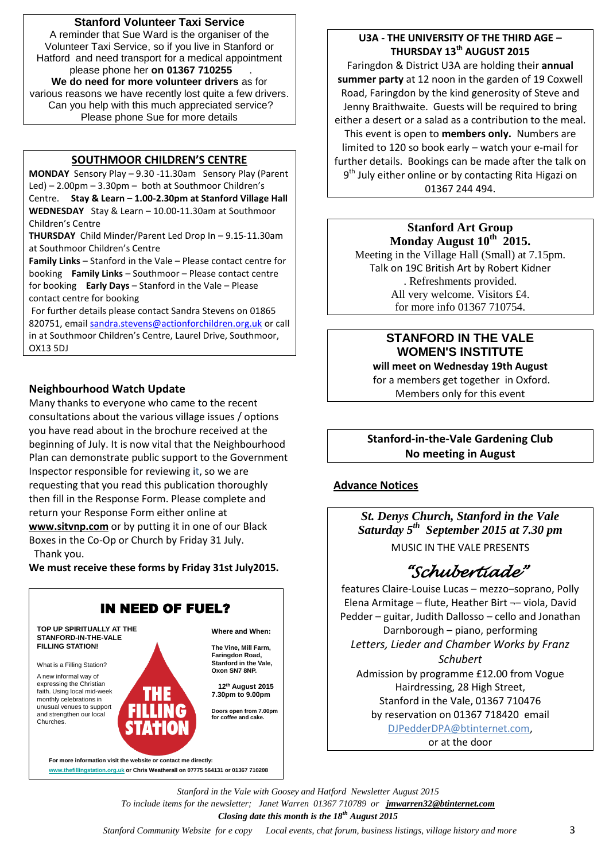### **Stanford Volunteer Taxi Service**

A reminder that Sue Ward is the organiser of the Volunteer Taxi Service, so if you live in Stanford or Hatford and need transport for a medical appointment please phone her **on 01367 710255** . **We do need for more volunteer drivers** as for various reasons we have recently lost quite a few drivers. Can you help with this much appreciated service? Please phone Sue for more details

### **SOUTHMOOR CHILDREN'S CENTRE**

**MONDAY** Sensory Play – 9.30 -11.30am Sensory Play (Parent Led) – 2.00pm – 3.30pm – both at Southmoor Children's Centre. **Stay & Learn – 1.00-2.30pm at Stanford Village Hall WEDNESDAY** Stay & Learn – 10.00-11.30am at Southmoor Children's Centre

**THURSDAY** Child Minder/Parent Led Drop In – 9.15-11.30am at Southmoor Children's Centre

**Family Links** – Stanford in the Vale – Please contact centre for booking **Family Links** – Southmoor – Please contact centre for booking **Early Days** – Stanford in the Vale – Please contact centre for booking

For further details please contact Sandra Stevens on 01865 820751, email [sandra.stevens@actionforchildren.org.uk](mailto:sandra.stevens@actionforchildren.org.uk) or call in at Southmoor Children's Centre, Laurel Drive, Southmoor, OX13 5DJ

## **Neighbourhood Watch Update**

Many thanks to everyone who came to the recent consultations about the various village issues / options you have read about in the brochure received at the beginning of July. It is now vital that the Neighbourhood Plan can demonstrate public support to the Government Inspector responsible for reviewing it, so we are requesting that you read this publication thoroughly then fill in the Response Form. Please complete and return your Response Form either online at

**[www.sitvnp.com](http://www.sitvnp.com/)** or by putting it in one of our Black Boxes in the Co-Op or Church by Friday 31 July. Thank you.

**We must receive these forms by Friday 31st July2015.**



## **U3A - THE UNIVERSITY OF THE THIRD AGE – THURSDAY 13th AUGUST 2015**

Faringdon & District U3A are holding their **annual summer party** at 12 noon in the garden of 19 Coxwell Road, Faringdon by the kind generosity of Steve and Jenny Braithwaite. Guests will be required to bring either a desert or a salad as a contribution to the meal. This event is open to **members only.** Numbers are limited to 120 so book early – watch your e-mail for further details. Bookings can be made after the talk on 9<sup>th</sup> July either online or by contacting Rita Higazi on 01367 244 494.

#### **Stanford Art Group Monday August 10th 2015.**

Meeting in the Village Hall (Small) at 7.15pm. Talk on 19C British Art by Robert Kidner . Refreshments provided. All very welcome. Visitors £4. for more info 01367 710754.

#### **STANFORD IN THE VALE WOMEN'S INSTITUTE will meet on Wednesday 19th August**

for a members get together in Oxford. Members only for this event

# **Stanford-in-the-Vale Gardening Club No meeting in August**

### **Advance Notices**

*St. Denys Church, Stanford in the Vale Saturday 5th September 2015 at 7.30 pm* MUSIC IN THE VALE PRESENTS

# *"Schubertiade"*

features Claire-Louise Lucas – mezzo–soprano, Polly Elena Armitage – flute, Heather Birt ¬– viola, David Pedder – guitar, Judith Dallosso – cello and Jonathan Darnborough – piano, performing *Letters, Lieder and Chamber Works by Franz Schubert*  Admission by programme £12.00 from Vogue Hairdressing, 28 High Street, Stanford in the Vale, 01367 710476 by reservation on 01367 718420 email [DJPedderDPA@btinternet.com,](mailto:DJPedderDPA@btinternet.com) or at the door

*Stanford in the Vale with Goosey and Hatford Newsletter August 2015 To include items for the newsletter; Janet Warren 01367 710789 or jmwarren32@btinternet.com Closing date this month is the 18th August 2015*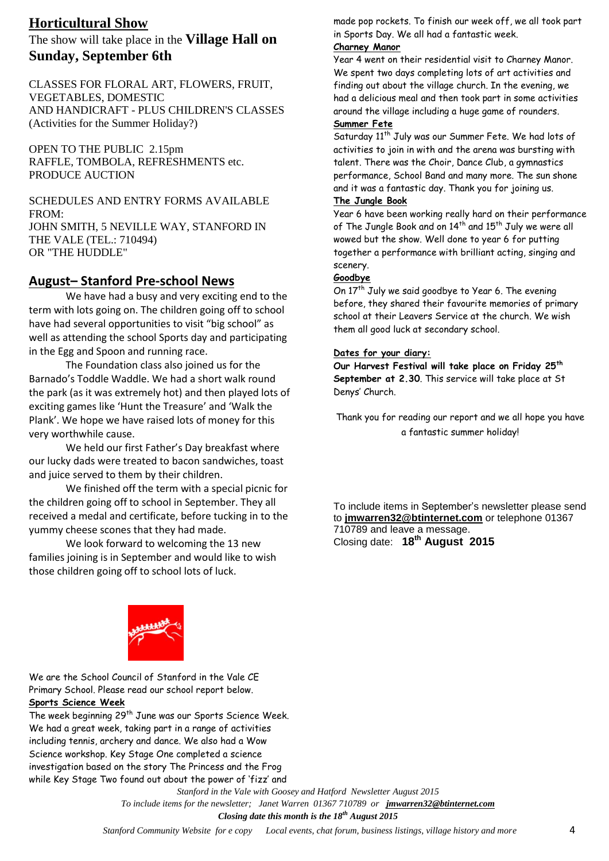# **Horticultural Show**

The show will take place in the **Village Hall on Sunday, September 6th**

CLASSES FOR FLORAL ART, FLOWERS, FRUIT, VEGETABLES, DOMESTIC AND HANDICRAFT - PLUS CHILDREN'S CLASSES (Activities for the Summer Holiday?)

OPEN TO THE PUBLIC 2.15pm RAFFLE, TOMBOLA, REFRESHMENTS etc. PRODUCE AUCTION

SCHEDULES AND ENTRY FORMS AVAILABLE FROM: JOHN SMITH, 5 NEVILLE WAY, STANFORD IN THE VALE (TEL.: 710494) OR "THE HUDDLE"

# **August– Stanford Pre-school News**

We have had a busy and very exciting end to the term with lots going on. The children going off to school have had several opportunities to visit "big school" as well as attending the school Sports day and participating in the Egg and Spoon and running race.

The Foundation class also joined us for the Barnado's Toddle Waddle. We had a short walk round the park (as it was extremely hot) and then played lots of exciting games like 'Hunt the Treasure' and 'Walk the Plank'. We hope we have raised lots of money for this very worthwhile cause.

We held our first Father's Day breakfast where our lucky dads were treated to bacon sandwiches, toast and juice served to them by their children.

We finished off the term with a special picnic for the children going off to school in September. They all received a medal and certificate, before tucking in to the yummy cheese scones that they had made.

We look forward to welcoming the 13 new families joining is in September and would like to wish those children going off to school lots of luck.

made pop rockets. To finish our week off, we all took part in Sports Day. We all had a fantastic week.

#### **Charney Manor**

Year 4 went on their residential visit to Charney Manor. We spent two days completing lots of art activities and finding out about the village church. In the evening, we had a delicious meal and then took part in some activities around the village including a huge game of rounders.

# **Summer Fete**

Saturday 11<sup>th</sup> July was our Summer Fete. We had lots of activities to join in with and the arena was bursting with talent. There was the Choir, Dance Club, a gymnastics performance, School Band and many more. The sun shone and it was a fantastic day. Thank you for joining us.

## **The Jungle Book**

Year 6 have been working really hard on their performance of The Jungle Book and on  $14^{th}$  and  $15^{th}$  July we were all wowed but the show. Well done to year 6 for putting together a performance with brilliant acting, singing and scenery.

#### **Goodbye**

On  $17<sup>th</sup>$  July we said goodbye to Year 6. The evening before, they shared their favourite memories of primary school at their Leavers Service at the church. We wish them all good luck at secondary school.

#### **Dates for your diary:**

**Our Harvest Festival will take place on Friday 25th September at 2.30**. This service will take place at St Denys' Church.

Thank you for reading our report and we all hope you have a fantastic summer holiday!

To include items in September's newsletter please send to **[jmwarren32@btinternet.com](mailto:jmwarren32@btinternet.com)** or telephone 01367 710789 and leave a message. Closing date: **18th August 2015** 



We are the School Council of Stanford in the Vale CE Primary School. Please read our school report below.

## **Sports Science Week**

The week beginning 29<sup>th</sup> June was our Sports Science Week. We had a great week, taking part in a range of activities including tennis, archery and dance. We also had a Wow Science workshop. Key Stage One completed a science investigation based on the story The Princess and the Frog while Key Stage Two found out about the power of 'fizz' and

> *Stanford in the Vale with Goosey and Hatford Newsletter August 2015 To include items for the newsletter; Janet Warren 01367 710789 or jmwarren32@btinternet.com*